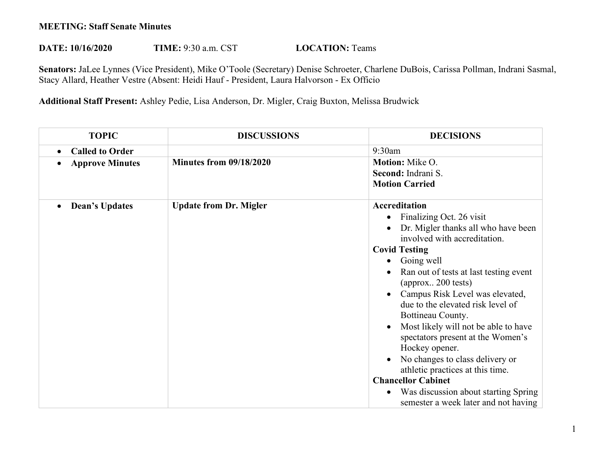## **MEETING: Staff Senate Minutes**

## **DATE: 10/16/2020 TIME: 9:30 a.m. CST <b>LOCATION:** Teams

**Senators:** JaLee Lynnes (Vice President), Mike O'Toole (Secretary) Denise Schroeter, Charlene DuBois, Carissa Pollman, Indrani Sasmal, Stacy Allard, Heather Vestre (Absent: Heidi Hauf - President, Laura Halvorson - Ex Officio

**Additional Staff Present:** Ashley Pedie, Lisa Anderson, Dr. Migler, Craig Buxton, Melissa Brudwick

| <b>TOPIC</b>                        | <b>DISCUSSIONS</b>             | <b>DECISIONS</b>                                                                                                                                                                                                                                                                                                                                                                                                                                                                                                                                                                                                                              |
|-------------------------------------|--------------------------------|-----------------------------------------------------------------------------------------------------------------------------------------------------------------------------------------------------------------------------------------------------------------------------------------------------------------------------------------------------------------------------------------------------------------------------------------------------------------------------------------------------------------------------------------------------------------------------------------------------------------------------------------------|
| <b>Called to Order</b><br>$\bullet$ |                                | 9:30am                                                                                                                                                                                                                                                                                                                                                                                                                                                                                                                                                                                                                                        |
| <b>Approve Minutes</b>              | <b>Minutes from 09/18/2020</b> | Motion: Mike O.<br>Second: Indrani S.<br><b>Motion Carried</b>                                                                                                                                                                                                                                                                                                                                                                                                                                                                                                                                                                                |
| <b>Dean's Updates</b><br>$\bullet$  | <b>Update from Dr. Migler</b>  | Accreditation<br>Finalizing Oct. 26 visit<br>$\bullet$<br>Dr. Migler thanks all who have been<br>involved with accreditation.<br><b>Covid Testing</b><br>Going well<br>$\bullet$<br>Ran out of tests at last testing event<br>(approx 200 tests)<br>Campus Risk Level was elevated,<br>due to the elevated risk level of<br>Bottineau County.<br>Most likely will not be able to have<br>spectators present at the Women's<br>Hockey opener.<br>No changes to class delivery or<br>athletic practices at this time.<br><b>Chancellor Cabinet</b><br>Was discussion about starting Spring<br>$\bullet$<br>semester a week later and not having |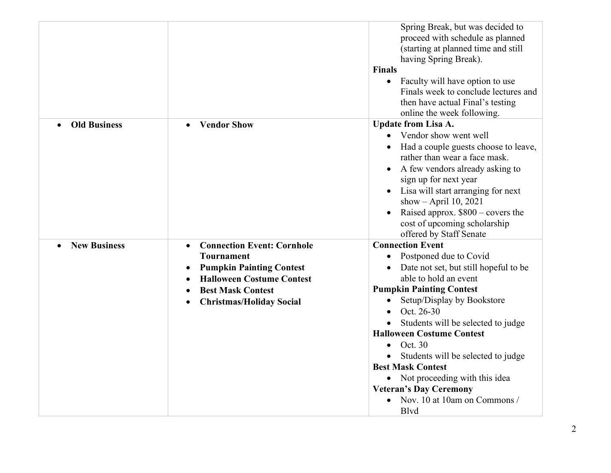|                                  |                                                | Spring Break, but was decided to<br>proceed with schedule as planned<br>(starting at planned time and still<br>having Spring Break).<br><b>Finals</b> |
|----------------------------------|------------------------------------------------|-------------------------------------------------------------------------------------------------------------------------------------------------------|
|                                  |                                                | Faculty will have option to use<br>$\bullet$                                                                                                          |
|                                  |                                                | Finals week to conclude lectures and                                                                                                                  |
|                                  |                                                | then have actual Final's testing                                                                                                                      |
|                                  |                                                | online the week following.                                                                                                                            |
| <b>Old Business</b>              | <b>Vendor Show</b><br>$\bullet$                | <b>Update from Lisa A.</b>                                                                                                                            |
|                                  |                                                | Vendor show went well<br>$\bullet$                                                                                                                    |
|                                  |                                                | Had a couple guests choose to leave,                                                                                                                  |
|                                  |                                                | rather than wear a face mask.                                                                                                                         |
|                                  |                                                | A few vendors already asking to                                                                                                                       |
|                                  |                                                | sign up for next year                                                                                                                                 |
|                                  |                                                | Lisa will start arranging for next<br>$\bullet$                                                                                                       |
|                                  |                                                | show - April 10, 2021                                                                                                                                 |
|                                  |                                                | Raised approx. $$800 - covers the$<br>$\bullet$<br>cost of upcoming scholarship<br>offered by Staff Senate                                            |
| <b>New Business</b><br>$\bullet$ | <b>Connection Event: Cornhole</b><br>$\bullet$ | <b>Connection Event</b>                                                                                                                               |
|                                  | <b>Tournament</b>                              | Postponed due to Covid<br>$\bullet$                                                                                                                   |
|                                  | <b>Pumpkin Painting Contest</b><br>$\bullet$   | Date not set, but still hopeful to be                                                                                                                 |
|                                  | <b>Halloween Costume Contest</b>               | able to hold an event                                                                                                                                 |
|                                  | <b>Best Mask Contest</b>                       | <b>Pumpkin Painting Contest</b>                                                                                                                       |
|                                  | <b>Christmas/Holiday Social</b>                | Setup/Display by Bookstore                                                                                                                            |
|                                  |                                                | Oct. 26-30                                                                                                                                            |
|                                  |                                                | Students will be selected to judge                                                                                                                    |
|                                  |                                                | <b>Halloween Costume Contest</b><br>Oct. 30                                                                                                           |
|                                  |                                                |                                                                                                                                                       |
|                                  |                                                | Students will be selected to judge<br><b>Best Mask Contest</b>                                                                                        |
|                                  |                                                | Not proceeding with this idea<br>$\bullet$                                                                                                            |
|                                  |                                                | <b>Veteran's Day Ceremony</b>                                                                                                                         |
|                                  |                                                | Nov. 10 at 10am on Commons /<br><b>B</b> lvd                                                                                                          |